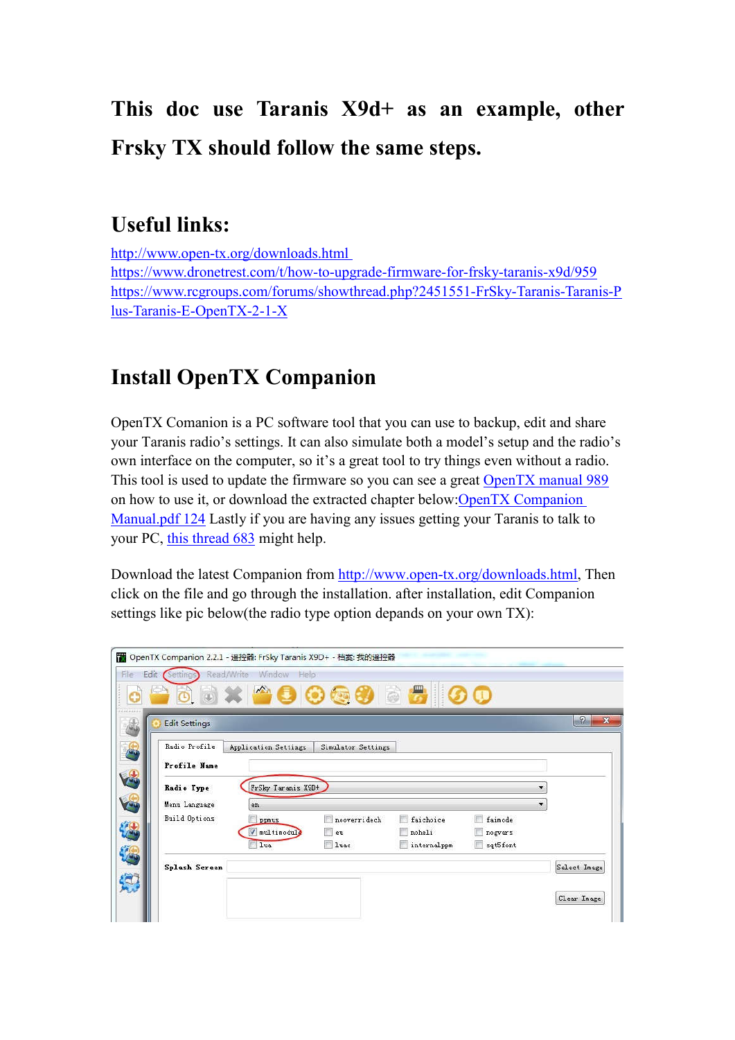# **This doc use Taranis X9d+ as an example, other Frsky TX should follow the same steps.**

#### **Useful links:**

http://www.open-tx.org/downloads.html https://www.dronetrest.com/t/how-to-upgrade-firmware-for-frsky-taranis-x9d/959 https://www.rcgroups.com/forums/showthread.php?2451551-FrSky-Taranis-Taranis-P lus-Taranis-E-OpenTX-2-1-X

#### **Install OpenTX Companion**

OpenTX Comanion is a PC software tool that you can use to backup, edit and share your Taranis radio's settings. It can also simulate both a model's setup and the radio's own interface on the computer, so it's a great tool to try things even without a radio. This tool is used to update the firmware so you can see a great OpenTX manual 989 on how to use it, or download the extracted chapter below:OpenTX Companion Manual.pdf 124 Lastly if you are having any issues getting your Taranis to talk to your PC, this thread 683 might help.

Download the latest Companion from http://www.open-tx.org/downloads.html, Then click on the file and go through the installation. after installation, edit Companion settings like pic below(the radio type option depands on your own TX):

|                      | Read/Write Window Help<br>8 8 x 2 8 0 8 8 8 8 9 0 0 |                    |                 |          |                          |
|----------------------|-----------------------------------------------------|--------------------|-----------------|----------|--------------------------|
|                      |                                                     |                    |                 |          |                          |
| <b>Edit Settings</b> |                                                     |                    |                 |          | $\Omega$                 |
| Radio Profile        | Application Settings                                | Simulator Settings |                 |          |                          |
| Profile Name         |                                                     |                    |                 |          |                          |
| Radio Type           | FrSky Taranis X9D+                                  |                    |                 |          |                          |
| Menu Language        | en                                                  |                    |                 |          | $\overline{\phantom{a}}$ |
| Build Options        | ppmus                                               | nooverridech       | faichoice<br>F. | faimode  |                          |
|                      | / multimodule                                       | eu                 | noheli          | nogvars  |                          |
|                      | lua                                                 | <b>luac</b>        | internalppm     | sqt5font |                          |
| Splash Screen        |                                                     |                    |                 |          | Select Image             |
|                      |                                                     |                    |                 |          |                          |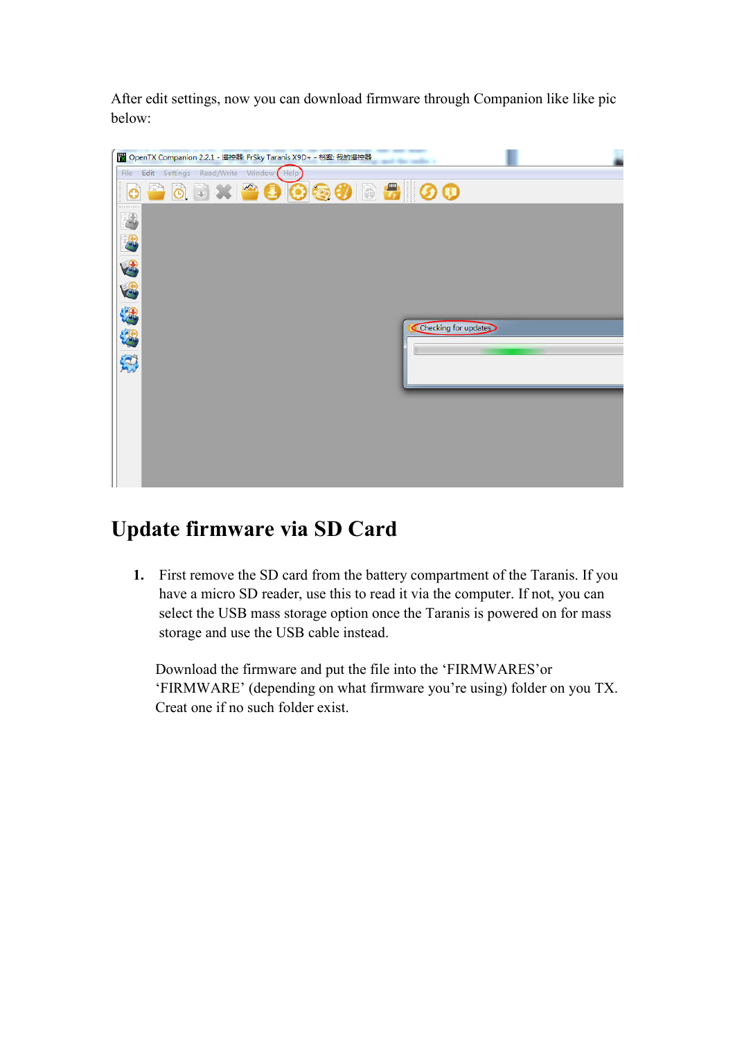After edit settings, now you can download firmware through Companion like like pic below:



### **Update firmware via SD Card**

**1.** First remove the SD card from the battery compartment of the Taranis. If you have a micro SD reader, use this to read it via the computer. If not, you can select the USB mass storage option once the Taranis is powered on for mass storage and use the USB cable instead.

Download the firmware and put the file into the 'FIRMWARES'or 'FIRMWARE' (depending on what firmware you're using) folder on you TX. Creat one if no such folder exist.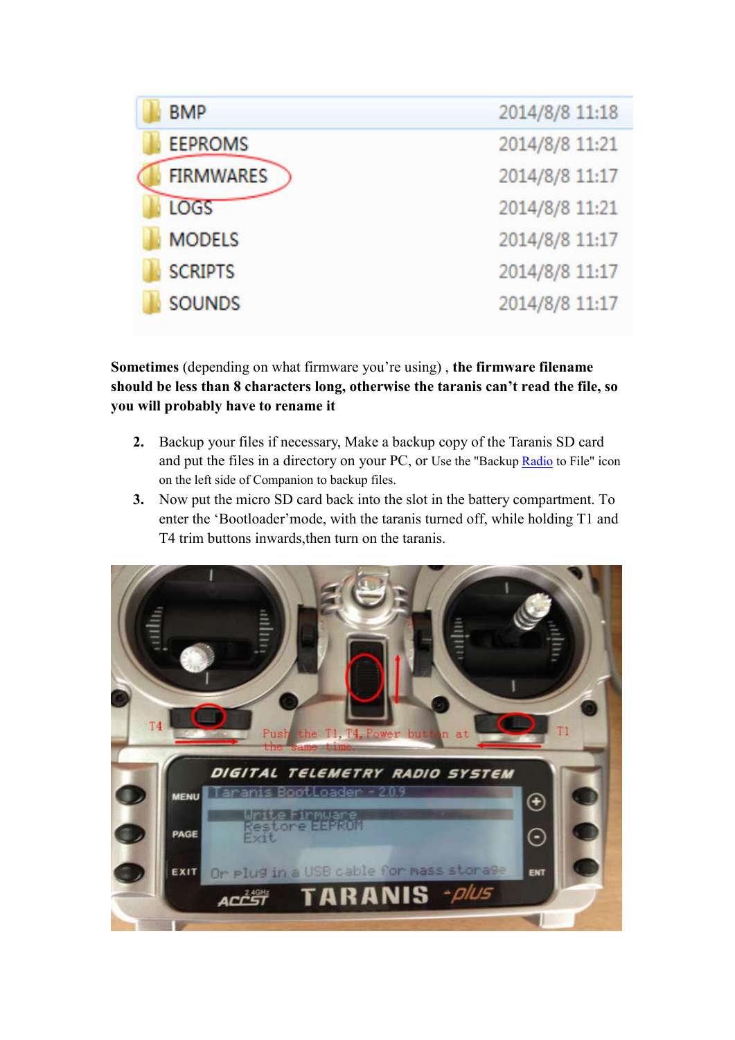| <b>BMP</b>       | 2014/8/8 11:18 |
|------------------|----------------|
| <b>EEPROMS</b>   | 2014/8/8 11:21 |
| <b>FIRMWARES</b> | 2014/8/8 11:17 |
| <b>LOGS</b>      | 2014/8/8 11:21 |
| <b>MODELS</b>    | 2014/8/8 11:17 |
| <b>SCRIPTS</b>   | 2014/8/8 11:17 |
| <b>SOUNDS</b>    | 2014/8/8 11:17 |

**Sometimes** (depending on what firmware you're using) , **the firmware filename should be less than 8 characters long, otherwise the taranis can't read the file, so you will probably have to rename it**

- **2.** Backup your files if necessary, Make a backup copy of the Taranis SD card and put the files in a directory on your PC, or Use the "Backup Radio to File" icon on the left side of Companion to backup files.
- **3.** Now put the micro SD card back into the slot in the battery compartment. To enter the 'Bootloader'mode, with the taranis turned off, while holding T1 and T4 trim buttons inwards,then turn on the taranis.